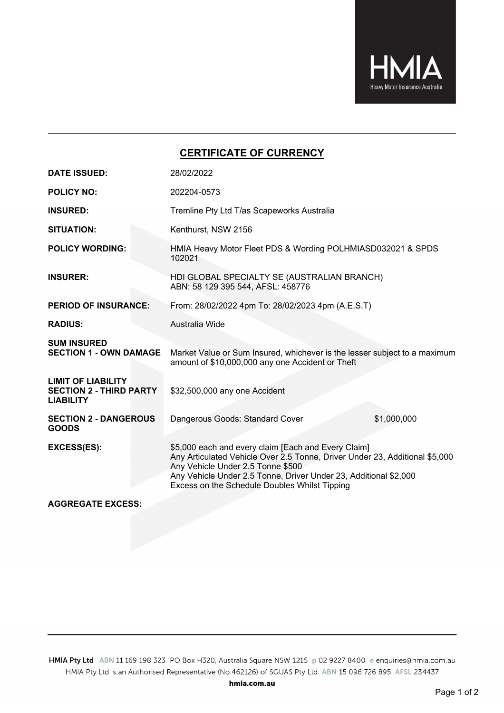

## **CERTIFICATE OF CURRENCY**

| <b>DATE ISSUED:</b>                                                             | 28/02/2022                                                                                                                                                                                                                                                                                   |                                                             |  |  |  |  |  |
|---------------------------------------------------------------------------------|----------------------------------------------------------------------------------------------------------------------------------------------------------------------------------------------------------------------------------------------------------------------------------------------|-------------------------------------------------------------|--|--|--|--|--|
| <b>POLICY NO:</b>                                                               | 202204-0573                                                                                                                                                                                                                                                                                  |                                                             |  |  |  |  |  |
| <b>INSURED:</b>                                                                 | Tremline Pty Ltd T/as Scapeworks Australia                                                                                                                                                                                                                                                   |                                                             |  |  |  |  |  |
| <b>SITUATION:</b>                                                               | Kenthurst, NSW 2156                                                                                                                                                                                                                                                                          |                                                             |  |  |  |  |  |
| <b>POLICY WORDING:</b>                                                          | 102021                                                                                                                                                                                                                                                                                       | HMIA Heavy Motor Fleet PDS & Wording POLHMIASD032021 & SPDS |  |  |  |  |  |
| <b>INSURER:</b>                                                                 | HDI GLOBAL SPECIALTY SE (AUSTRALIAN BRANCH)<br>ABN: 58 129 395 544, AFSL: 458776                                                                                                                                                                                                             |                                                             |  |  |  |  |  |
| <b>PERIOD OF INSURANCE:</b>                                                     | From: 28/02/2022 4pm To: 28/02/2023 4pm (A.E.S.T)                                                                                                                                                                                                                                            |                                                             |  |  |  |  |  |
| <b>RADIUS:</b>                                                                  | Australia Wide                                                                                                                                                                                                                                                                               |                                                             |  |  |  |  |  |
| <b>SUM INSURED</b><br><b>SECTION 1 - OWN DAMAGE</b>                             | Market Value or Sum Insured, whichever is the lesser subject to a maximum<br>amount of \$10,000,000 any one Accident or Theft                                                                                                                                                                |                                                             |  |  |  |  |  |
| <b>LIMIT OF LIABILITY</b><br><b>SECTION 2 - THIRD PARTY</b><br><b>LIABILITY</b> | \$32,500,000 any one Accident                                                                                                                                                                                                                                                                |                                                             |  |  |  |  |  |
| <b>SECTION 2 - DANGEROUS</b><br><b>GOODS</b>                                    | Dangerous Goods: Standard Cover                                                                                                                                                                                                                                                              | \$1,000,000                                                 |  |  |  |  |  |
| <b>EXCESS(ES):</b>                                                              | \$5,000 each and every claim [Each and Every Claim]<br>Any Articulated Vehicle Over 2.5 Tonne, Driver Under 23, Additional \$5,000<br>Any Vehicle Under 2.5 Tonne \$500<br>Any Vehicle Under 2.5 Tonne, Driver Under 23, Additional \$2,000<br>Excess on the Schedule Doubles Whilst Tipping |                                                             |  |  |  |  |  |
| <b>AGGREGATE EXCESS:</b>                                                        |                                                                                                                                                                                                                                                                                              |                                                             |  |  |  |  |  |

HMIA Pty Ltd ABN 11 169 198 323 PO Box H320, Australia Square NSW 1215 p 02 9227 8400 e enquiries@hmia.com.au HMIA Pty Ltd is an Authorised Representative (No.462126) of SGUAS Pty Ltd ABN 15 096 726 895 AFSL 234437